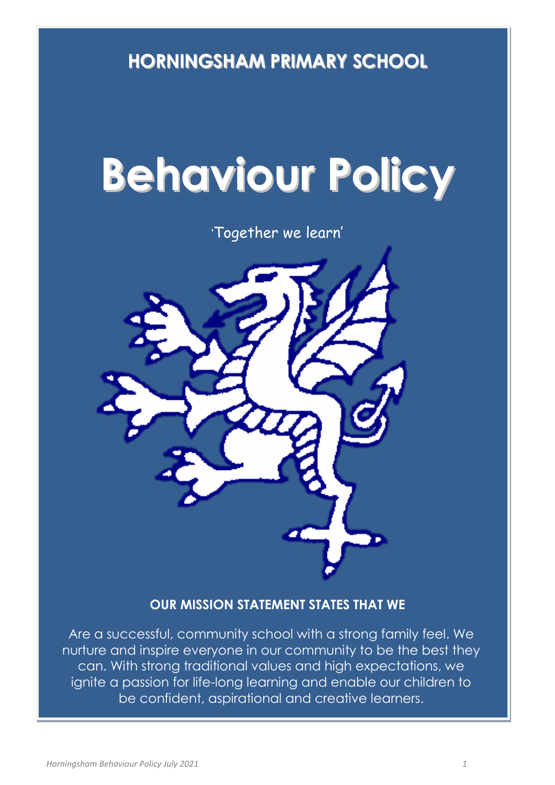**HORNINGSHAM PRIMARY SCHOOL**

# **Behaviour Policy**

'Together we learn'



# **OUR MISSION STATEMENT STATES THAT WE**

Are a successful, community school with a strong family feel. We nurture and inspire everyone in our community to be the best they can. With strong traditional values and high expectations, we ignite a passion for life-long learning and enable our children to be confident, aspirational and creative learners.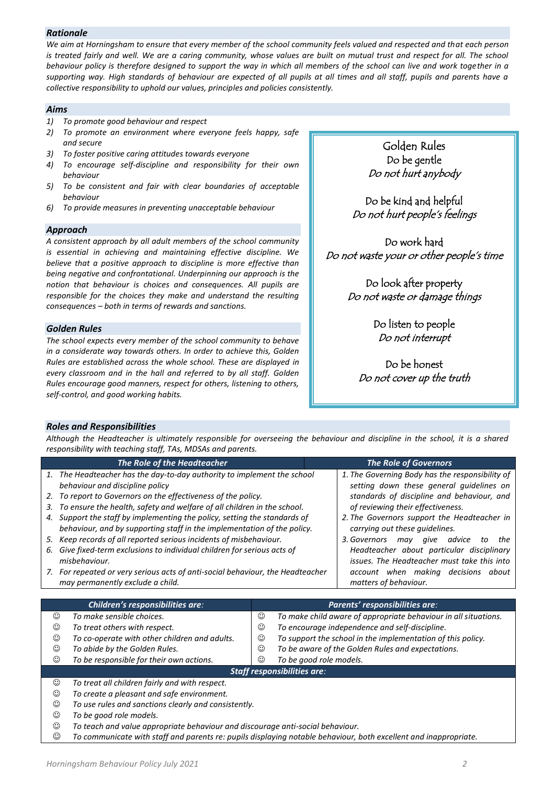### *Rationale*

*We aim at Horningsham to ensure that every member of the school community feels valued and respected and that each person is treated fairly and well. We are a caring community, whose values are built on mutual trust and respect for all. The school behaviour policy is therefore designed to support the way in which all members of the school can live and work together in a supporting way. High standards of behaviour are expected of all pupils at all times and all staff, pupils and parents have a collective responsibility to uphold our values, principles and policies consistently.*

#### *Aims*

- *1) To promote good behaviour and respect*
- *2) To promote an environment where everyone feels happy, safe and secure*
- *3) To foster positive caring attitudes towards everyone*
- *4) To encourage self-discipline and responsibility for their own behaviour*
- *5) To be consistent and fair with clear boundaries of acceptable behaviour*
- *6) To provide measures in preventing unacceptable behaviour*

# *Approach*

*A consistent approach by all adult members of the school community is essential in achieving and maintaining effective discipline. We believe that a positive approach to discipline is more effective than being negative and confrontational. Underpinning our approach is the notion that behaviour is choices and consequences. All pupils are responsible for the choices they make and understand the resulting consequences – both in terms of rewards and sanctions.*

# *Golden Rules*

*The school expects every member of the school community to behave in a considerate way towards others. In order to achieve this, Golden Rules are established across the whole school. These are displayed in every classroom and in the hall and referred to by all staff. Golden Rules encourage good manners, respect for others, listening to others, self-control, and good working habits.* 

Golden Rules Do be gentle Do not hurt anybody

Do be kind and helpful Do not hurt people's feelings

Do work hard Do not waste your or other people's time

> Do look after property Do not waste or damage things

> > Do listen to people Do not interrupt

Do be honest Do not cover up the truth

# *Roles and Responsibilities*

*Although the Headteacher is ultimately responsible for overseeing the behaviour and discipline in the school, it is a shared responsibility with teaching staff, TAs, MDSAs and parents.* 

|    | The Role of the Headteacher                                                    | <b>The Role of Governors</b>                |                                                 |  |  |  |
|----|--------------------------------------------------------------------------------|---------------------------------------------|-------------------------------------------------|--|--|--|
|    | 1. The Headteacher has the day-to-day authority to implement the school        |                                             | 1. The Governing Body has the responsibility of |  |  |  |
|    | behaviour and discipline policy                                                | setting down these general guidelines on    |                                                 |  |  |  |
|    | 2. To report to Governors on the effectiveness of the policy.                  | standards of discipline and behaviour, and  |                                                 |  |  |  |
| 3. | To ensure the health, safety and welfare of all children in the school.        | of reviewing their effectiveness.           |                                                 |  |  |  |
|    | 4. Support the staff by implementing the policy, setting the standards of      | 2. The Governors support the Headteacher in |                                                 |  |  |  |
|    | behaviour, and by supporting staff in the implementation of the policy.        | carrying out these guidelines.              |                                                 |  |  |  |
|    | 5. Keep records of all reported serious incidents of misbehaviour.             | 3. Governors<br>advice<br>aive<br>to<br>may | the                                             |  |  |  |
|    | 6. Give fixed-term exclusions to individual children for serious acts of       | Headteacher about particular disciplinary   |                                                 |  |  |  |
|    | misbehaviour.                                                                  | issues. The Headteacher must take this into |                                                 |  |  |  |
|    | 7. For repeated or very serious acts of anti-social behaviour, the Headteacher | account when making decisions about         |                                                 |  |  |  |
|    | may permanently exclude a child.                                               | matters of behaviour.                       |                                                 |  |  |  |

| <b>Children's responsibilities are:</b> |                                                                                | Parents' responsibilities are:                                   |                                                                 |  |  |  |  |
|-----------------------------------------|--------------------------------------------------------------------------------|------------------------------------------------------------------|-----------------------------------------------------------------|--|--|--|--|
| ☺                                       | To make sensible choices.                                                      | ☺                                                                | To make child aware of appropriate behaviour in all situations. |  |  |  |  |
| ☺                                       | To treat others with respect.                                                  | ☺                                                                | To encourage independence and self-discipline.                  |  |  |  |  |
| ☺                                       | To co-operate with other children and adults.                                  | ☺<br>To support the school in the implementation of this policy. |                                                                 |  |  |  |  |
| ☺                                       | To abide by the Golden Rules.                                                  | ☺                                                                | To be aware of the Golden Rules and expectations.               |  |  |  |  |
| ☺                                       | To be responsible for their own actions.                                       | ☺                                                                | To be good role models.                                         |  |  |  |  |
| <b>Staff responsibilities are:</b>      |                                                                                |                                                                  |                                                                 |  |  |  |  |
| ☺                                       | To treat all children fairly and with respect.                                 |                                                                  |                                                                 |  |  |  |  |
| ☺                                       | To create a pleasant and safe environment.                                     |                                                                  |                                                                 |  |  |  |  |
| ☺                                       | To use rules and sanctions clearly and consistently.                           |                                                                  |                                                                 |  |  |  |  |
| ☺                                       | To be good role models.                                                        |                                                                  |                                                                 |  |  |  |  |
| ☺                                       | To teach and value appropriate behaviour and discourage anti-social behaviour. |                                                                  |                                                                 |  |  |  |  |

*To communicate with staff and parents re: pupils displaying notable behaviour, both excellent and inappropriate.*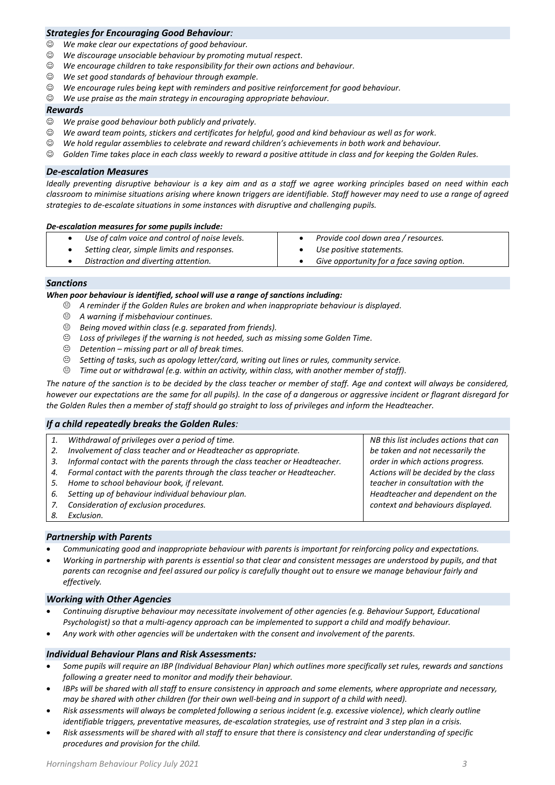# *Strategies for Encouraging Good Behaviour:*

- *We make clear our expectations of good behaviour.*
- *We discourage unsociable behaviour by promoting mutual respect.*
- *We encourage children to take responsibility for their own actions and behaviour.*
- *We set good standards of behaviour through example.*
- *We encourage rules being kept with reminders and positive reinforcement for good behaviour.*
- *We use praise as the main strategy in encouraging appropriate behaviour.*

#### *Rewards*

- *We praise good behaviour both publicly and privately.*
- *We award team points, stickers and certificates for helpful, good and kind behaviour as well as for work.*
- *We hold regular assemblies to celebrate and reward children's achievements in both work and behaviour.*
- *Golden Time takes place in each class weekly to reward a positive attitude in class and for keeping the Golden Rules.*

#### *De-escalation Measures*

*Ideally preventing disruptive behaviour is a key aim and as a staff we agree working principles based on need within each classroom to minimise situations arising where known triggers are identifiable. Staff however may need to use a range of agreed strategies to de-escalate situations in some instances with disruptive and challenging pupils.*

#### *De-escalation measures for some pupils include:*

| Use of calm voice and control of noise levels. | Provide cool down area / resources.        |
|------------------------------------------------|--------------------------------------------|
| Setting clear, simple limits and responses.    | Use positive statements.                   |
| Distraction and diverting attention.           | Give opportunity for a face saving option. |
|                                                |                                            |

#### *Sanctions*

#### *When poor behaviour is identified, school will use a range of sanctions including:*

- *A reminder if the Golden Rules are broken and when inappropriate behaviour is displayed.*
- *A warning if misbehaviour continues.*
- *Being moved within class (e.g. separated from friends).*
- *Loss of privileges if the warning is not heeded, such as missing some Golden Time.*
- *Detention – missing part or all of break times.*
- *Setting of tasks, such as apology letter/card, writing out lines or rules, community service.*
- *Time out or withdrawal (e.g. within an activity, within class, with another member of staff).*

*The nature of the sanction is to be decided by the class teacher or member of staff. Age and context will always be considered, however our expectations are the same for all pupils). In the case of a dangerous or aggressive incident or flagrant disregard for the Golden Rules then a member of staff should go straight to loss of privileges and inform the Headteacher.*

# *If a child repeatedly breaks the Golden Rules:*

- *1. Withdrawal of privileges over a period of time.*
- *2. Involvement of class teacher and or Headteacher as appropriate.*
- *3. Informal contact with the parents through the class teacher or Headteacher.*
- *4. Formal contact with the parents through the class teacher or Headteacher.*
- *5. Home to school behaviour book, if relevant.*
- *6. Setting up of behaviour individual behaviour plan.*
- *7. Consideration of exclusion procedures.*
- *8. Exclusion.*

# *Partnership with Parents*

- *Communicating good and inappropriate behaviour with parents is important for reinforcing policy and expectations.*
- *Working in partnership with parents is essential so that clear and consistent messages are understood by pupils, and that parents can recognise and feel assured our policy is carefully thought out to ensure we manage behaviour fairly and effectively.*

#### *Working with Other Agencies*

- *Continuing disruptive behaviour may necessitate involvement of other agencies (e.g. Behaviour Support, Educational Psychologist) so that a multi-agency approach can be implemented to support a child and modify behaviour.*
- *Any work with other agencies will be undertaken with the consent and involvement of the parents.*

#### *Individual Behaviour Plans and Risk Assessments:*

- *Some pupils will require an IBP (Individual Behaviour Plan) which outlines more specifically set rules, rewards and sanctions following a greater need to monitor and modify their behaviour.*
- *IBPs will be shared with all staff to ensure consistency in approach and some elements, where appropriate and necessary, may be shared with other children (for their own well-being and in support of a child with need).*
- *Risk assessments will always be completed following a serious incident (e.g. excessive violence), which clearly outline identifiable triggers, preventative measures, de-escalation strategies, use of restraint and 3 step plan in a crisis.*
- *Risk assessments will be shared with all staff to ensure that there is consistency and clear understanding of specific procedures and provision for the child.*

*NB this list includes actions that can be taken and not necessarily the order in which actions progress. Actions will be decided by the class teacher in consultation with the Headteacher and dependent on the context and behaviours displayed.*